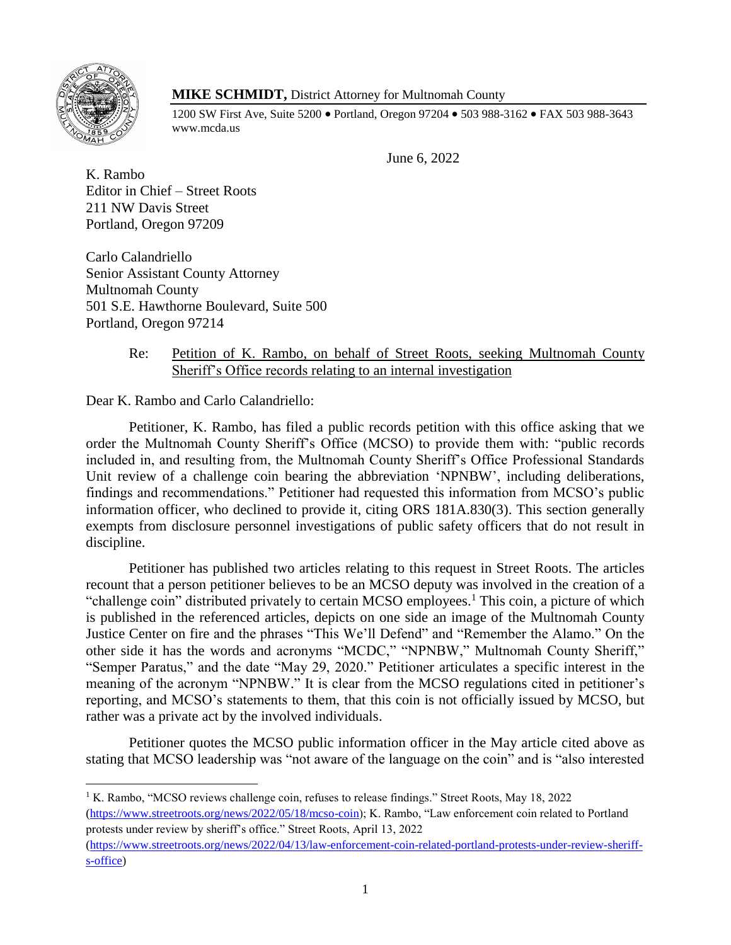

 $\overline{\phantom{a}}$ 

# **MIKE SCHMIDT,** District Attorney for Multnomah County

1200 SW First Ave, Suite 5200 • Portland, Oregon 97204 • 503 988-3162 • FAX 503 988-3643 www.mcda.us

June 6, 2022

K. Rambo Editor in Chief – Street Roots 211 NW Davis Street Portland, Oregon 97209

Carlo Calandriello Senior Assistant County Attorney Multnomah County 501 S.E. Hawthorne Boulevard, Suite 500 Portland, Oregon 97214

# Re: Petition of K. Rambo, on behalf of Street Roots, seeking Multnomah County Sheriff's Office records relating to an internal investigation

Dear K. Rambo and Carlo Calandriello:

Petitioner, K. Rambo, has filed a public records petition with this office asking that we order the Multnomah County Sheriff's Office (MCSO) to provide them with: "public records included in, and resulting from, the Multnomah County Sheriff's Office Professional Standards Unit review of a challenge coin bearing the abbreviation 'NPNBW', including deliberations, findings and recommendations." Petitioner had requested this information from MCSO's public information officer, who declined to provide it, citing ORS 181A.830(3). This section generally exempts from disclosure personnel investigations of public safety officers that do not result in discipline.

Petitioner has published two articles relating to this request in Street Roots. The articles recount that a person petitioner believes to be an MCSO deputy was involved in the creation of a "challenge coin" distributed privately to certain MCSO employees.<sup>1</sup> This coin, a picture of which is published in the referenced articles, depicts on one side an image of the Multnomah County Justice Center on fire and the phrases "This We'll Defend" and "Remember the Alamo." On the other side it has the words and acronyms "MCDC," "NPNBW," Multnomah County Sheriff," "Semper Paratus," and the date "May 29, 2020." Petitioner articulates a specific interest in the meaning of the acronym "NPNBW." It is clear from the MCSO regulations cited in petitioner's reporting, and MCSO's statements to them, that this coin is not officially issued by MCSO, but rather was a private act by the involved individuals.

Petitioner quotes the MCSO public information officer in the May article cited above as stating that MCSO leadership was "not aware of the language on the coin" and is "also interested

<sup>&</sup>lt;sup>1</sup> K. Rambo, "MCSO reviews challenge coin, refuses to release findings." Street Roots, May 18, 2022 [\(https://www.streetroots.org/news/2022/05/18/mcso-coin\)](https://www.streetroots.org/news/2022/05/18/mcso-coin); K. Rambo, "Law enforcement coin related to Portland protests under review by sheriff's office." Street Roots, April 13, 2022

[<sup>\(</sup>https://www.streetroots.org/news/2022/04/13/law-enforcement-coin-related-portland-protests-under-review-sheriff](https://www.streetroots.org/news/2022/04/13/law-enforcement-coin-related-portland-protests-under-review-sheriff-s-office)[s-office\)](https://www.streetroots.org/news/2022/04/13/law-enforcement-coin-related-portland-protests-under-review-sheriff-s-office)